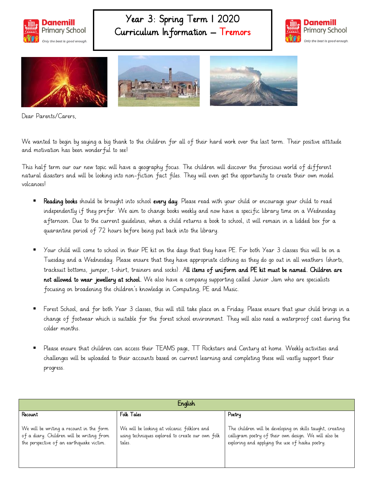

## Year 3: Spring Term 1 2020 Curriculum Information – Tremors





Dear Parents/Carers,

We wanted to begin by saying a big thank to the children for all of their hard work over the last term. Their positive attitude and motivation has been wonderful to see!

This half term our our new topic will have a geography focus. The children will discover the ferocious world of different natural disasters and will be looking into non-fiction fact files. They will even get the opportunity to create their own model volcanoes!

- Reading books should be brought into school every day. Please read with your child or encourage your child to read independently if they prefer. We aim to change books weekly and now have a specific library time on a Wednesday afternoon. Due to the current guidelines, when a child returns a book to school, it will remain in a lidded box for a quarantine period of 72 hours before being put back into the library.
- Your child will come to school in their PE kit on the days that they have PE. For both Year 3 classes this will be on a Tuesday and a Wednesday. Please ensure that they have appropriate clothing as they do go out in all weathers (shorts, tracksuit bottoms, jumper, t-shirt, trainers and socks). All items of uniform and PE kit must be named. Children are not allowed to wear jewellery at school. We also have a company supporting called Junior Jam who are specialists focusing on broadening the children's knowledge in Computing, PE and Music.
- Forest School, and for both Year 3 classes, this will still take place on a Friday. Please ensure that your child brings in a change of footwear which is suitable for the forest school environment. They will also need a waterproof coat during the colder months.
- Please ensure that children can access their TEAMS page, TT Rockstars and Century at home. Weekly activities and challenges will be uploaded to their accounts based on current learning and completing these will vastly support their progress.

| English                                                                                                                           |                                                                                                           |                                                                                                                                                                        |
|-----------------------------------------------------------------------------------------------------------------------------------|-----------------------------------------------------------------------------------------------------------|------------------------------------------------------------------------------------------------------------------------------------------------------------------------|
| Recount                                                                                                                           | Folk Tales                                                                                                | Poetry                                                                                                                                                                 |
| We will be writing a recount in the form<br>of a diary. Children will be writing from<br>the perspective of an earthquake victim. | We will be looking at volcanic folklore and<br>using techniques explored to create our own folk<br>tales. | The children will be developing on skills taught, creating<br>calligram poetry of their own design. We will also be<br>exploring and applying the use of haiku poetry. |